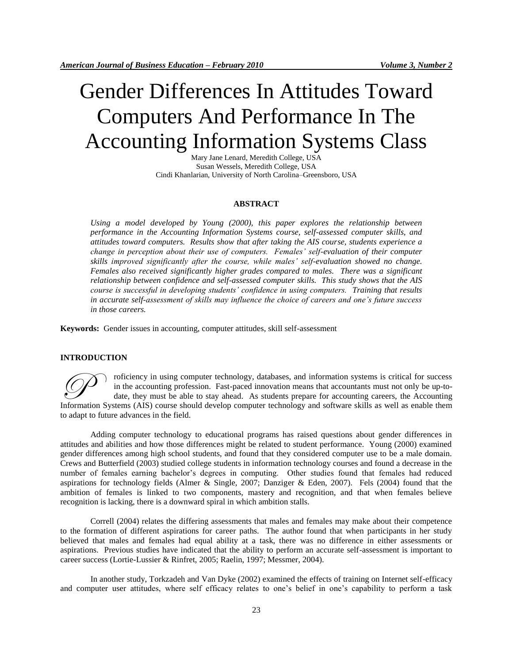# Gender Differences In Attitudes Toward Computers And Performance In The Accounting Information Systems Class

Mary Jane Lenard, Meredith College, USA Susan Wessels, Meredith College, USA Cindi Khanlarian, University of North Carolina–Greensboro, USA

#### **ABSTRACT**

*Using a model developed by Young (2000), this paper explores the relationship between performance in the Accounting Information Systems course, self-assessed computer skills, and attitudes toward computers. Results show that after taking the AIS course, students experience a change in perception about their use of computers. Females' self-evaluation of their computer skills improved significantly after the course, while males' self-evaluation showed no change. Females also received significantly higher grades compared to males. There was a significant relationship between confidence and self-assessed computer skills. This study shows that the AIS course is successful in developing students' confidence in using computers. Training that results in accurate self-assessment of skills may influence the choice of careers and one's future success in those careers.* 

**Keywords:** Gender issues in accounting, computer attitudes, skill self-assessment

#### **INTRODUCTION**

roficiency in using computer technology, databases, and information systems is critical for success in the accounting profession. Fast-paced innovation means that accountants must not only be up-todate, they must be able to stay ahead. As students prepare for accounting careers, the Accounting Information Systems (AIS) course should develop computer technology, databases, and information systems is critical for success in the accounting profession. Fast-paced innovation means that accountants must not only be up to adapt to future advances in the field.

Adding computer technology to educational programs has raised questions about gender differences in attitudes and abilities and how those differences might be related to student performance. Young (2000) examined gender differences among high school students, and found that they considered computer use to be a male domain. Crews and Butterfield (2003) studied college students in information technology courses and found a decrease in the number of females earning bachelor's degrees in computing. Other studies found that females had reduced aspirations for technology fields (Almer & Single, 2007; Danziger & Eden, 2007). Fels (2004) found that the ambition of females is linked to two components, mastery and recognition, and that when females believe recognition is lacking, there is a downward spiral in which ambition stalls.

Correll (2004) relates the differing assessments that males and females may make about their competence to the formation of different aspirations for career paths. The author found that when participants in her study believed that males and females had equal ability at a task, there was no difference in either assessments or aspirations. Previous studies have indicated that the ability to perform an accurate self-assessment is important to career success (Lortie-Lussier & Rinfret, 2005; Raelin, 1997; Messmer, 2004).

In another study, Torkzadeh and Van Dyke (2002) examined the effects of training on Internet self-efficacy and computer user attitudes, where self efficacy relates to one's belief in one's capability to perform a task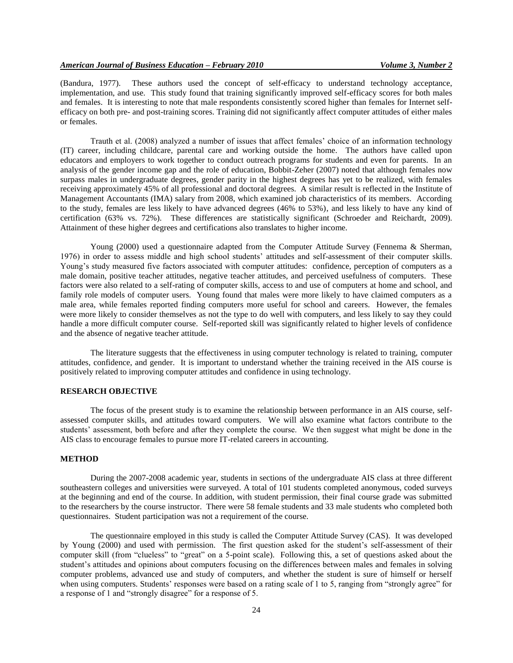(Bandura, 1977). These authors used the concept of self-efficacy to understand technology acceptance, implementation, and use. This study found that training significantly improved self-efficacy scores for both males and females. It is interesting to note that male respondents consistently scored higher than females for Internet selfefficacy on both pre- and post-training scores. Training did not significantly affect computer attitudes of either males or females.

Trauth et al. (2008) analyzed a number of issues that affect females' choice of an information technology (IT) career, including childcare, parental care and working outside the home. The authors have called upon educators and employers to work together to conduct outreach programs for students and even for parents. In an analysis of the gender income gap and the role of education, Bobbit-Zeher (2007) noted that although females now surpass males in undergraduate degrees, gender parity in the highest degrees has yet to be realized, with females receiving approximately 45% of all professional and doctoral degrees. A similar result is reflected in the Institute of Management Accountants (IMA) salary from 2008, which examined job characteristics of its members. According to the study, females are less likely to have advanced degrees (46% to 53%), and less likely to have any kind of certification (63% vs. 72%). These differences are statistically significant (Schroeder and Reichardt, 2009). Attainment of these higher degrees and certifications also translates to higher income.

Young (2000) used a questionnaire adapted from the Computer Attitude Survey (Fennema & Sherman, 1976) in order to assess middle and high school students' attitudes and self-assessment of their computer skills. Young's study measured five factors associated with computer attitudes: confidence, perception of computers as a male domain, positive teacher attitudes, negative teacher attitudes, and perceived usefulness of computers. These factors were also related to a self-rating of computer skills, access to and use of computers at home and school, and family role models of computer users. Young found that males were more likely to have claimed computers as a male area, while females reported finding computers more useful for school and careers. However, the females were more likely to consider themselves as not the type to do well with computers, and less likely to say they could handle a more difficult computer course. Self-reported skill was significantly related to higher levels of confidence and the absence of negative teacher attitude.

The literature suggests that the effectiveness in using computer technology is related to training, computer attitudes, confidence, and gender. It is important to understand whether the training received in the AIS course is positively related to improving computer attitudes and confidence in using technology.

## **RESEARCH OBJECTIVE**

The focus of the present study is to examine the relationship between performance in an AIS course, selfassessed computer skills, and attitudes toward computers. We will also examine what factors contribute to the students' assessment, both before and after they complete the course. We then suggest what might be done in the AIS class to encourage females to pursue more IT-related careers in accounting.

#### **METHOD**

During the 2007-2008 academic year, students in sections of the undergraduate AIS class at three different southeastern colleges and universities were surveyed. A total of 101 students completed anonymous, coded surveys at the beginning and end of the course. In addition, with student permission, their final course grade was submitted to the researchers by the course instructor. There were 58 female students and 33 male students who completed both questionnaires. Student participation was not a requirement of the course.

The questionnaire employed in this study is called the Computer Attitude Survey (CAS). It was developed by Young (2000) and used with permission. The first question asked for the student's self-assessment of their computer skill (from "clueless" to "great" on a 5-point scale). Following this, a set of questions asked about the student's attitudes and opinions about computers focusing on the differences between males and females in solving computer problems, advanced use and study of computers, and whether the student is sure of himself or herself when using computers. Students' responses were based on a rating scale of 1 to 5, ranging from "strongly agree" for a response of 1 and "strongly disagree" for a response of 5.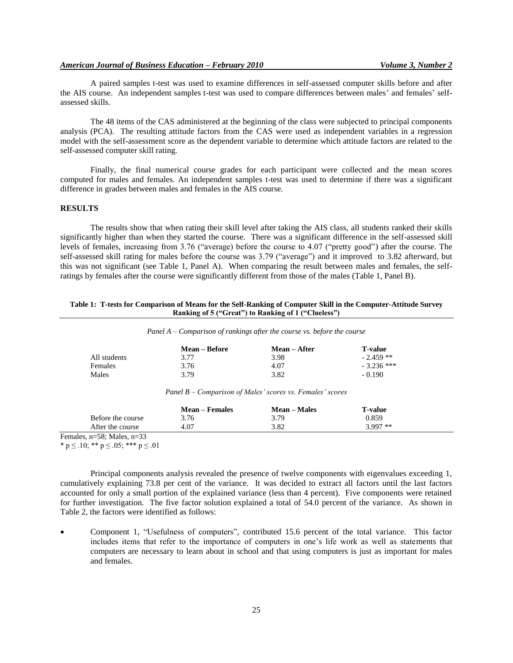A paired samples t-test was used to examine differences in self-assessed computer skills before and after the AIS course. An independent samples t-test was used to compare differences between males' and females' selfassessed skills.

The 48 items of the CAS administered at the beginning of the class were subjected to principal components analysis (PCA). The resulting attitude factors from the CAS were used as independent variables in a regression model with the self-assessment score as the dependent variable to determine which attitude factors are related to the self-assessed computer skill rating.

Finally, the final numerical course grades for each participant were collected and the mean scores computed for males and females. An independent samples t-test was used to determine if there was a significant difference in grades between males and females in the AIS course.

### **RESULTS**

The results show that when rating their skill level after taking the AIS class, all students ranked their skills significantly higher than when they started the course. There was a significant difference in the self-assessed skill levels of females, increasing from 3.76 ("average) before the course to 4.07 ("pretty good") after the course. The self-assessed skill rating for males before the course was 3.79 ("average") and it improved to 3.82 afterward, but this was not significant (see Table 1, Panel A). When comparing the result between males and females, the selfratings by females after the course were significantly different from those of the males (Table 1, Panel B).

| Table 1: T-tests for Comparison of Means for the Self-Ranking of Computer Skill in the Computer-Attitude Survey |
|-----------------------------------------------------------------------------------------------------------------|
| Ranking of 5 ("Great") to Ranking of 1 ("Clueless")                                                             |

| Panel $A$ – Comparison of rankings after the course vs. before the course |  |  |  |  |  |  |
|---------------------------------------------------------------------------|--|--|--|--|--|--|
|---------------------------------------------------------------------------|--|--|--|--|--|--|

|              | <b>Mean – Before</b> | <b>Mean</b> – After | <b>T-value</b> |
|--------------|----------------------|---------------------|----------------|
| All students | 3.77                 | 3.98                | $-2.459$ **    |
| Females      | 3.76                 | 4.07                | $-3.236$ ***   |
| Males        | 3.79                 | 3.82                | $-0.190$       |

*Panel B – Comparison of Males' scores vs. Females' scores*

|                   | <b>Mean – Females</b> | Mean – Males | <b>T-value</b> |  |
|-------------------|-----------------------|--------------|----------------|--|
| Before the course | 3.76                  | 3.79         | 0.859          |  |
| After the course  | 4.07                  | 3.82         | $3.997**$      |  |

Females, n=58; Males, n=33

\* p  $\leq$  .10; \*\* p  $\leq$  .05; \*\*\* p  $\leq$  .01

Principal components analysis revealed the presence of twelve components with eigenvalues exceeding 1, cumulatively explaining 73.8 per cent of the variance. It was decided to extract all factors until the last factors accounted for only a small portion of the explained variance (less than 4 percent). Five components were retained for further investigation. The five factor solution explained a total of 54.0 percent of the variance. As shown in Table 2, the factors were identified as follows:

 Component 1, "Usefulness of computers", contributed 15.6 percent of the total variance. This factor includes items that refer to the importance of computers in one's life work as well as statements that computers are necessary to learn about in school and that using computers is just as important for males and females.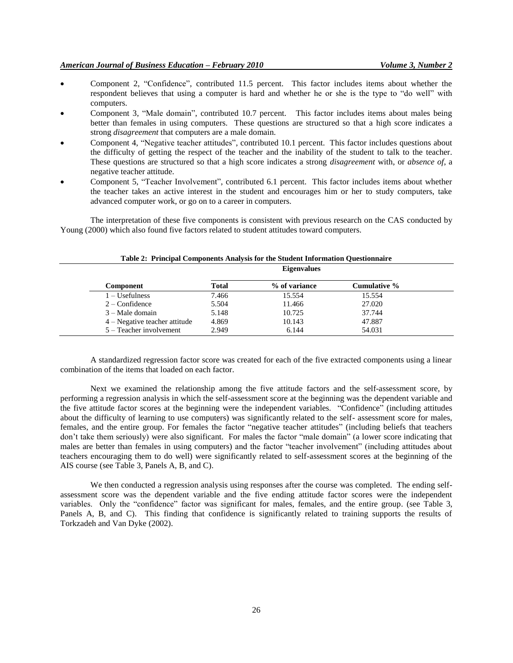- Component 2, "Confidence", contributed 11.5 percent. This factor includes items about whether the respondent believes that using a computer is hard and whether he or she is the type to "do well" with computers.
- Component 3, "Male domain", contributed 10.7 percent. This factor includes items about males being better than females in using computers. These questions are structured so that a high score indicates a strong *disagreement* that computers are a male domain.
- Component 4, "Negative teacher attitudes", contributed 10.1 percent. This factor includes questions about the difficulty of getting the respect of the teacher and the inability of the student to talk to the teacher. These questions are structured so that a high score indicates a strong *disagreement* with, or *absence of*, a negative teacher attitude.
- Component 5, "Teacher Involvement", contributed 6.1 percent. This factor includes items about whether the teacher takes an active interest in the student and encourages him or her to study computers, take advanced computer work, or go on to a career in computers.

The interpretation of these five components is consistent with previous research on the CAS conducted by Young (2000) which also found five factors related to student attitudes toward computers.

|                               |              | <b>Eigenvalues</b> |              |  |
|-------------------------------|--------------|--------------------|--------------|--|
| Component                     | <b>Total</b> | % of variance      | Cumulative % |  |
| $1 -$ Usefulness              | 7.466        | 15.554             | 15.554       |  |
| $2$ – Confidence              | 5.504        | 11.466             | 27.020       |  |
| $3 - Male domain$             | 5.148        | 10.725             | 37.744       |  |
| 4 – Negative teacher attitude | 4.869        | 10.143             | 47.887       |  |
| 5 – Teacher involvement       | 2.949        | 6.144              | 54.031       |  |

#### **Table 2: Principal Components Analysis for the Student Information Questionnaire**

A standardized regression factor score was created for each of the five extracted components using a linear combination of the items that loaded on each factor.

Next we examined the relationship among the five attitude factors and the self-assessment score, by performing a regression analysis in which the self-assessment score at the beginning was the dependent variable and the five attitude factor scores at the beginning were the independent variables. "Confidence" (including attitudes about the difficulty of learning to use computers) was significantly related to the self- assessment score for males, females, and the entire group. For females the factor "negative teacher attitudes" (including beliefs that teachers don't take them seriously) were also significant. For males the factor "male domain" (a lower score indicating that males are better than females in using computers) and the factor "teacher involvement" (including attitudes about teachers encouraging them to do well) were significantly related to self-assessment scores at the beginning of the AIS course (see Table 3, Panels A, B, and C).

We then conducted a regression analysis using responses after the course was completed. The ending selfassessment score was the dependent variable and the five ending attitude factor scores were the independent variables. Only the "confidence" factor was significant for males, females, and the entire group. (see Table 3, Panels A, B, and C). This finding that confidence is significantly related to training supports the results of Torkzadeh and Van Dyke (2002).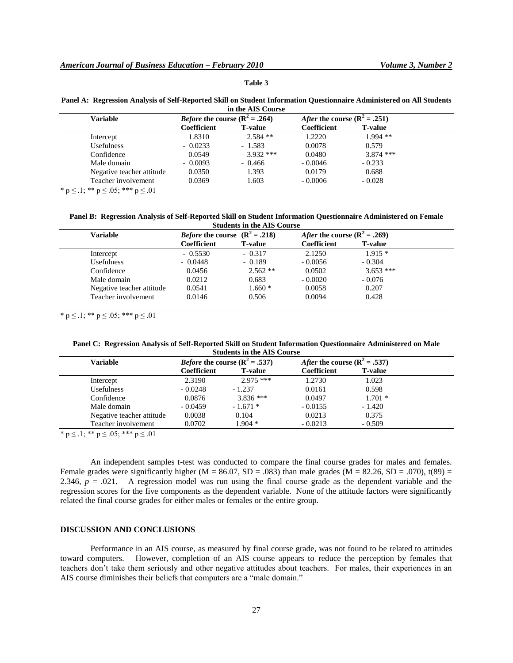## **Table 3**

| Panel A: Regression Analysis of Self-Reported Skill on Student Information Questionnaire Administered on All Students |  |
|-----------------------------------------------------------------------------------------------------------------------|--|
| in the AIS Course                                                                                                     |  |

| Variable                  | <i>Before</i> the course $(R^2 = .264)$ |                | After the course $(R^2 = .251)$ |                |  |
|---------------------------|-----------------------------------------|----------------|---------------------------------|----------------|--|
|                           | Coefficient                             | <b>T-value</b> | Coefficient                     | <b>T-value</b> |  |
| Intercept                 | 1.8310                                  | $2.584$ **     | 1.2220                          | $1.994$ **     |  |
| <b>Usefulness</b>         | $-0.0233$                               | $-1.583$       | 0.0078                          | 0.579          |  |
| Confidence                | 0.0549                                  | $3.932$ ***    | 0.0480                          | $3.874$ ***    |  |
| Male domain               | $-0.0093$                               | $-0.466$       | $-0.0046$                       | $-0.233$       |  |
| Negative teacher attitude | 0.0350                                  | 1.393          | 0.0179                          | 0.688          |  |
| Teacher involvement       | 0.0369                                  | 1.603          | $-0.0006$                       | $-0.028$       |  |

\* p  $\leq$  .1; \*\* p  $\leq$  .05; \*\*\* p  $\leq$  .01

**Panel B: Regression Analysis of Self-Reported Skill on Student Information Questionnaire Administered on Female Students in the AIS Course**

| <b>Variable</b>           |             | <i>Before</i> the course $(R^2 = .218)$ | After the course $(R^2 = .269)$ |                |
|---------------------------|-------------|-----------------------------------------|---------------------------------|----------------|
|                           | Coefficient | <b>T-value</b>                          | Coefficient                     | <b>T-value</b> |
| Intercept                 | $-0.5530$   | $-0.317$                                | 2.1250                          | $1.915*$       |
| <b>Usefulness</b>         | $-0.0448$   | $-0.189$                                | $-0.0056$                       | $-0.304$       |
| Confidence                | 0.0456      | $2.562**$                               | 0.0502                          | $3.653$ ***    |
| Male domain               | 0.0212      | 0.683                                   | $-0.0020$                       | $-0.076$       |
| Negative teacher attitude | 0.0541      | $1.660*$                                | 0.0058                          | 0.207          |
| Teacher involvement       | 0.0146      | 0.506                                   | 0.0094                          | 0.428          |

\* p  $\leq$  .1; \*\* p  $\leq$  .05; \*\*\* p  $\leq$  .01

|  |  |                                   |  | Panel C: Regression Analysis of Self-Reported Skill on Student Information Questionnaire Administered on Male |  |
|--|--|-----------------------------------|--|---------------------------------------------------------------------------------------------------------------|--|
|  |  | <b>Students in the AIS Course</b> |  |                                                                                                               |  |

| <b>Variable</b>           |             | <i>Before</i> the course $(R^2 = .537)$ | After the course $(R^2 = .537)$ |                |
|---------------------------|-------------|-----------------------------------------|---------------------------------|----------------|
|                           | Coefficient | <b>T-value</b>                          | Coefficient                     | <b>T-value</b> |
| Intercept                 | 2.3190      | $2.975$ ***                             | 1.2730                          | 1.023          |
| <b>Usefulness</b>         | $-0.0248$   | $-1.237$                                | 0.0161                          | 0.598          |
| Confidence                | 0.0876      | $3.836$ ***                             | 0.0497                          | $1.701*$       |
| Male domain               | $-0.0459$   | $-1.671*$                               | $-0.0155$                       | $-1.420$       |
| Negative teacher attitude | 0.0038      | 0.104                                   | 0.0213                          | 0.375          |
| Teacher involvement       | 0.0702      | $1.904*$                                | $-0.0213$                       | $-0.509$       |

\*  $p \le 0.1$ ; \*\*  $p \le 0.05$ ; \*\*\*  $p \le 0.01$ 

An independent samples t-test was conducted to compare the final course grades for males and females. Female grades were significantly higher (M = 86.07, SD = .083) than male grades (M = 82.26, SD = .070), t(89) = 2.346,  $p = .021$ . A regression model was run using the final course grade as the dependent variable and the regression scores for the five components as the dependent variable. None of the attitude factors were significantly related the final course grades for either males or females or the entire group.

# **DISCUSSION AND CONCLUSIONS**

Performance in an AIS course, as measured by final course grade, was not found to be related to attitudes toward computers. However, completion of an AIS course appears to reduce the perception by females that teachers don't take them seriously and other negative attitudes about teachers. For males, their experiences in an AIS course diminishes their beliefs that computers are a "male domain."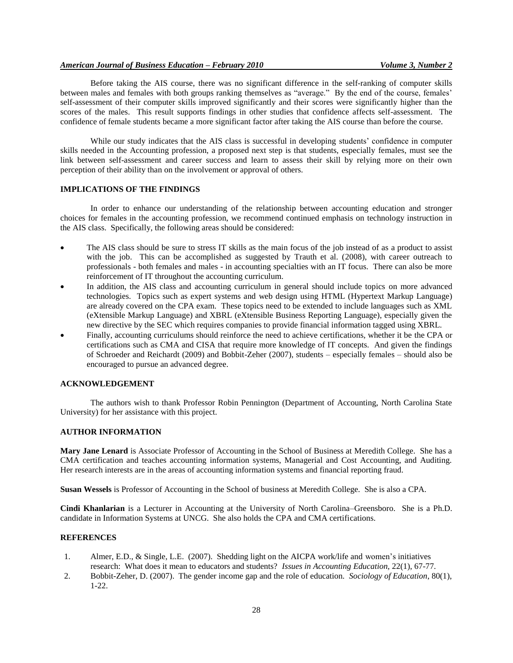## *American Journal of Business Education – February 2010 Volume 3, Number 2*

Before taking the AIS course, there was no significant difference in the self-ranking of computer skills between males and females with both groups ranking themselves as "average." By the end of the course, females' self-assessment of their computer skills improved significantly and their scores were significantly higher than the scores of the males. This result supports findings in other studies that confidence affects self-assessment. The confidence of female students became a more significant factor after taking the AIS course than before the course.

While our study indicates that the AIS class is successful in developing students' confidence in computer skills needed in the Accounting profession, a proposed next step is that students, especially females, must see the link between self-assessment and career success and learn to assess their skill by relying more on their own perception of their ability than on the involvement or approval of others.

## **IMPLICATIONS OF THE FINDINGS**

In order to enhance our understanding of the relationship between accounting education and stronger choices for females in the accounting profession, we recommend continued emphasis on technology instruction in the AIS class. Specifically, the following areas should be considered:

- The AIS class should be sure to stress IT skills as the main focus of the job instead of as a product to assist with the job. This can be accomplished as suggested by Trauth et al. (2008), with career outreach to professionals - both females and males - in accounting specialties with an IT focus. There can also be more reinforcement of IT throughout the accounting curriculum.
- In addition, the AIS class and accounting curriculum in general should include topics on more advanced technologies. Topics such as expert systems and web design using HTML (Hypertext Markup Language) are already covered on the CPA exam. These topics need to be extended to include languages such as XML (eXtensible Markup Language) and XBRL (eXtensible Business Reporting Language), especially given the new directive by the SEC which requires companies to provide financial information tagged using XBRL.
- Finally, accounting curriculums should reinforce the need to achieve certifications, whether it be the CPA or certifications such as CMA and CISA that require more knowledge of IT concepts. And given the findings of Schroeder and Reichardt (2009) and Bobbit-Zeher (2007), students – especially females – should also be encouraged to pursue an advanced degree.

## **ACKNOWLEDGEMENT**

The authors wish to thank Professor Robin Pennington (Department of Accounting, North Carolina State University) for her assistance with this project.

#### **AUTHOR INFORMATION**

**Mary Jane Lenard** is Associate Professor of Accounting in the School of Business at Meredith College. She has a CMA certification and teaches accounting information systems, Managerial and Cost Accounting, and Auditing. Her research interests are in the areas of accounting information systems and financial reporting fraud.

**Susan Wessels** is Professor of Accounting in the School of business at Meredith College. She is also a CPA.

**Cindi Khanlarian** is a Lecturer in Accounting at the University of North Carolina–Greensboro. She is a Ph.D. candidate in Information Systems at UNCG. She also holds the CPA and CMA certifications.

## **REFERENCES**

- 1. Almer, E.D., & Single, L.E. (2007). Shedding light on the AICPA work/life and women's initiatives research: What does it mean to educators and students? *Issues in Accounting Education,* 22(1), 67-77.
- 2. Bobbit-Zeher, D. (2007). The gender income gap and the role of education. *Sociology of Education*, 80(1), 1-22.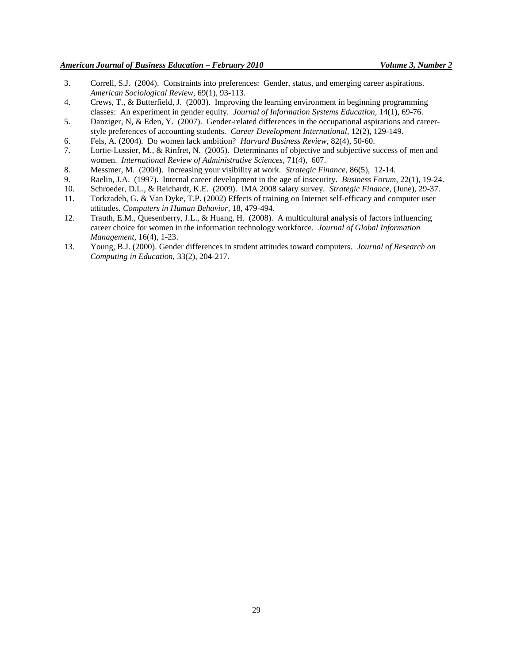- 3. Correll, S.J. (2004). Constraints into preferences: Gender, status, and emerging career aspirations. *American Sociological Review*, 69(1), 93-113.
- 4. Crews, T., & Butterfield, J. (2003). Improving the learning environment in beginning programming classes: An experiment in gender equity. *Journal of Information Systems Education,* 14(1), 69-76.
- 5. Danziger, N, & Eden, Y. (2007). Gender-related differences in the occupational aspirations and careerstyle preferences of accounting students. *Career Development International*, 12(2), 129-149.
- 6. Fels, A. (2004). Do women lack ambition? *Harvard Business Review*, 82(4), 50-60.
- 7. Lortie-Lussier, M., & Rinfret, N. (2005). Determinants of objective and subjective success of men and women. *International Review of Administrative Sciences,* 71(4), 607.
- 8. Messmer, M. (2004). Increasing your visibility at work. *Strategic Finance,* 86(5), 12-14.
- 9. Raelin, J.A. (1997). Internal career development in the age of insecurity. *Business Forum,* 22(1), 19-24.
- 10. Schroeder, D.L., & Reichardt, K.E. (2009). IMA 2008 salary survey. *Strategic Finance*, (June), 29-37.
- 11. Torkzadeh, G. & Van Dyke, T.P. (2002) Effects of training on Internet self-efficacy and computer user attitudes. *Computers in Human Behavior*, 18, 479-494.
- 12. Trauth, E.M., Quesenberry, J.L., & Huang, H. (2008). A multicultural analysis of factors influencing career choice for women in the information technology workforce. *Journal of Global Information Management*, 16(4), 1-23.
- 13. Young, B.J. (2000). Gender differences in student attitudes toward computers. *Journal of Research on Computing in Education,* 33(2), 204-217.